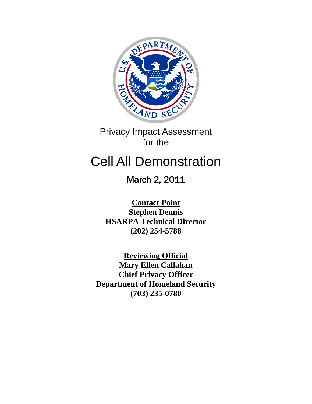

Privacy Impact Assessment for the

# Cell All Demonstration

March 2, 2011

**Contact Point Stephen Dennis HSARPA Technical Director (202) 254-5788**

**Reviewing Official Mary Ellen Callahan Chief Privacy Officer Department of Homeland Security (703) 235-0780**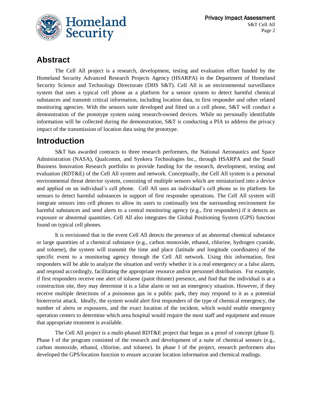

### **Abstract**

The Cell All project is a research, development, testing and evaluation effort funded by the Homeland Security Advanced Research Projects Agency (HSARPA) in the Department of Homeland Security Science and Technology Directorate (DHS S&T). Cell All is an environmental surveillance system that uses a typical cell phone as a platform for a sensor system to detect harmful chemical substances and transmit critical information, including location data, to first responder and other related monitoring agencies. With the sensors suite developed and fitted on a cell phone, S&T will conduct a demonstration of the prototype system using research-owned devices. While no personally identifiable information will be collected during the demonstration, S&T is conducting a PIA to address the privacy impact of the transmission of location data using the prototype.

## **Introduction**

S&T has awarded contracts to three research performers, the National Aeronautics and Space Administration (NASA), Qualcomm, and Synkera Technologies Inc., through HSARPA and the Small Business Innovation Research portfolio to provide funding for the research, development, testing and evaluation (RDT&E) of the Cell All system and network. Conceptually, the Cell All system is a personal environmental threat detector system, consisting of multiple sensors which are miniaturized into a device and applied on an individual's cell phone. Cell All uses an individual's cell phone as its platform for sensors to detect harmful substances in support of first responder operations. The Cell All system will integrate sensors into cell phones to allow its users to continually test the surrounding environment for harmful substances and send alerts to a central monitoring agency (e.g., first responders) if it detects an exposure or abnormal quantities. Cell All also integrates the Global Positioning System (GPS) function found on typical cell phones.

It is envisioned that in the event Cell All detects the presence of an abnormal chemical substance or large quantities of a chemical substance (e.g., carbon monoxide, ethanol, chlorine, hydrogen cyanide, and toluene), the system will transmit the time and place (latitude and longitude coordinates) of the specific event to a monitoring agency through the Cell All network. Using this information, first responders will be able to analyze the situation and verify whether it is a real emergency or a false alarm, and respond accordingly, facilitating the appropriate resource and/or personnel distribution. For example, if first responders receive one alert of toluene (paint thinner) presence, and find that the individual is at a construction site, they may determine it is a false alarm or not an emergency situation. However, if they receive multiple detections of a poisonous gas in a public park, they may respond to it as a potential bioterrorist attack. Ideally, the system would alert first responders of the type of chemical emergency, the number of alerts or exposures, and the exact location of the incident, which would enable emergency operation centers to determine which area hospital would require the most staff and equipment and ensure that appropriate treatment is available.

The Cell All project is a multi-phased RDT&E project that began as a proof of concept (phase I). Phase I of the program consisted of the research and development of a suite of chemical sensors (e.g., carbon monoxide, ethanol, chlorine, and toluene). In phase I of the project, research performers also developed the GPS/location function to ensure accurate location information and chemical readings.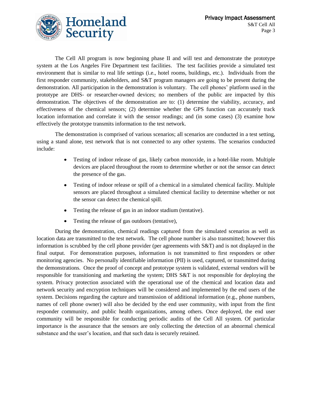

The Cell All program is now beginning phase II and will test and demonstrate the prototype system at the Los Angeles Fire Department test facilities. The test facilities provide a simulated test environment that is similar to real life settings (i.e., hotel rooms, buildings, etc.). Individuals from the first responder community, stakeholders, and S&T program managers are going to be present during the demonstration. All participation in the demonstration is voluntary. The cell phones' platform used in the prototype are DHS- or researcher-owned devices; no members of the public are impacted by this demonstration. The objectives of the demonstration are to: (1) determine the viability, accuracy, and effectiveness of the chemical sensors; (2) determine whether the GPS function can accurately track location information and correlate it with the sensor readings; and (in some cases) (3) examine how effectively the prototype transmits information to the test network.

The demonstration is comprised of various scenarios; all scenarios are conducted in a test setting, using a stand alone, test network that is not connected to any other systems. The scenarios conducted include:

- Testing of indoor release of gas, likely carbon monoxide, in a hotel-like room. Multiple  $\bullet$ devices are placed throughout the room to determine whether or not the sensor can detect the presence of the gas.
- Testing of indoor release or spill of a chemical in a simulated chemical facility. Multiple  $\bullet$ sensors are placed throughout a simulated chemical facility to determine whether or not the sensor can detect the chemical spill.
- Testing the release of gas in an indoor stadium (tentative).
- Testing the release of gas outdoors (tentative),  $\bullet$

During the demonstration, chemical readings captured from the simulated scenarios as well as location data are transmitted to the test network. The cell phone number is also transmitted; however this information is scrubbed by the cell phone provider (per agreements with  $S\&T$ ) and is not displayed in the final output. For demonstration purposes, information is not transmitted to first responders or other monitoring agencies. No personally identifiable information (PII) is used, captured, or transmitted during the demonstrations. Once the proof of concept and prototype system is validated, external vendors will be responsible for transitioning and marketing the system; DHS S&T is not responsible for deploying the system. Privacy protection associated with the operational use of the chemical and location data and network security and encryption techniques will be considered and implemented by the end users of the system. Decisions regarding the capture and transmission of additional information (e.g., phone numbers, names of cell phone owner) will also be decided by the end user community, with input from the first responder community, and public health organizations, among others. Once deployed, the end user community will be responsible for conducting periodic audits of the Cell All system. Of particular importance is the assurance that the sensors are only collecting the detection of an abnormal chemical substance and the user's location, and that such data is securely retained.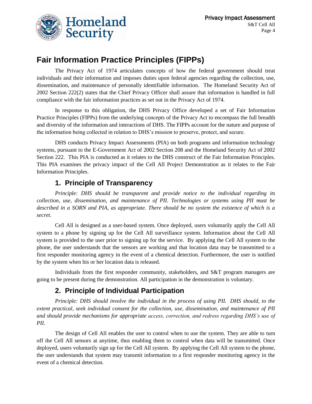

## **Fair Information Practice Principles (FIPPs)**

The Privacy Act of 1974 articulates concepts of how the federal government should treat individuals and their information and imposes duties upon federal agencies regarding the collection, use, dissemination, and maintenance of personally identifiable information. The Homeland Security Act of 2002 Section 222(2) states that the Chief Privacy Officer shall assure that information is handled in full compliance with the fair information practices as set out in the Privacy Act of 1974.

In response to this obligation, the DHS Privacy Office developed a set of Fair Information Practice Principles (FIPPs) from the underlying concepts of the Privacy Act to encompass the full breadth and diversity of the information and interactions of DHS. The FIPPs account for the nature and purpose of the information being collected in relation to DHS's mission to preserve, protect, and secure.

DHS conducts Privacy Impact Assessments (PIA) on both programs and information technology systems, pursuant to the E-Government Act of 2002 Section 208 and the Homeland Security Act of 2002 Section 222. This PIA is conducted as it relates to the DHS construct of the Fair Information Principles. This PIA examines the privacy impact of the Cell All Project Demonstration as it relates to the Fair Information Principles.

#### **1. Principle of Transparency**

*Principle: DHS should be transparent and provide notice to the individual regarding its collection, use, dissemination, and maintenance of PII. Technologies or systems using PII must be described in a SORN and PIA, as appropriate. There should be no system the existence of which is a secret.*

Cell All is designed as a user-based system. Once deployed, users voluntarily apply the Cell All system to a phone by signing up for the Cell All surveillance system. Information about the Cell All system is provided to the user prior to signing up for the service. By applying the Cell All system to the phone, the user understands that the sensors are working and that location data may be transmitted to a first responder monitoring agency in the event of a chemical detection. Furthermore, the user is notified by the system when his or her location data is released.

Individuals from the first responder community, stakeholders, and S&T program managers are going to be present during the demonstration. All participation in the demonstration is voluntary.

#### **2. Principle of Individual Participation**

*Principle: DHS should involve the individual in the process of using PII. DHS should, to the extent practical, seek individual consent for the collection, use, dissemination, and maintenance of PII and should provide mechanisms for appropriate access, correction, and redress regarding DHS's use of PII.*

The design of Cell All enables the user to control when to use the system. They are able to turn off the Cell All sensors at anytime, thus enabling them to control when data will be transmitted. Once deployed, users voluntarily sign up for the Cell All system. By applying the Cell All system to the phone, the user understands that system may transmit information to a first responder monitoring agency in the event of a chemical detection.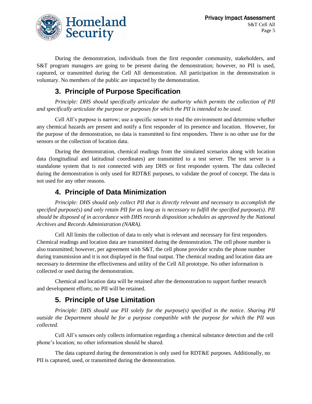

During the demonstration, individuals from the first responder community, stakeholders, and S&T program managers are going to be present during the demonstration; however, no PII is used, captured, or transmitted during the Cell All demonstration. All participation in the demonstration is voluntary. No members of the public are impacted by the demonstration.

#### **3. Principle of Purpose Specification**

*Principle: DHS should specifically articulate the authority which permits the collection of PII and specifically articulate the purpose or purposes for which the PII is intended to be used.*

Cell All's purpose is narrow; use a specific sensor to read the environment and determine whether any chemical hazards are present and notify a first responder of its presence and location. However, for the purpose of the demonstration, no data is transmitted to first responders. There is no other use for the sensors or the collection of location data.

During the demonstration, chemical readings from the simulated scenarios along with location data (longitudinal and latitudinal coordinates) are transmitted to a test server. The test server is a standalone system that is not connected with any DHS or first responder system. The data collected during the demonstration is only used for RDT&E purposes, to validate the proof of concept. The data is not used for any other reasons.

#### **4. Principle of Data Minimization**

*Principle: DHS should only collect PII that is directly relevant and necessary to accomplish the specified purpose(s) and only retain PII for as long as is necessary to fulfill the specified purpose(s). PII should be disposed of in accordance with DHS records disposition schedules as approved by the National Archives and Records Administration (NARA).*

Cell All limits the collection of data to only what is relevant and necessary for first responders. Chemical readings and location data are transmitted during the demonstration. The cell phone number is also transmitted; however, per agreement with S&T, the cell phone provider scrubs the phone number during transmission and it is not displayed in the final output. The chemical reading and location data are necessary to determine the effectiveness and utility of the Cell All prototype. No other information is collected or used during the demonstration.

Chemical and location data will be retained after the demonstration to support further research and development efforts; no PII will be retained.

#### **5. Principle of Use Limitation**

*Principle: DHS should use PII solely for the purpose(s) specified in the notice. Sharing PII outside the Department should be for a purpose compatible with the purpose for which the PII was collected.*

Cell All's sensors only collects information regarding a chemical substance detection and the cell phone's location; no other information should be shared.

The data captured during the demonstration is only used for RDT&E purposes. Additionally, no PII is captured, used, or transmitted during the demonstration.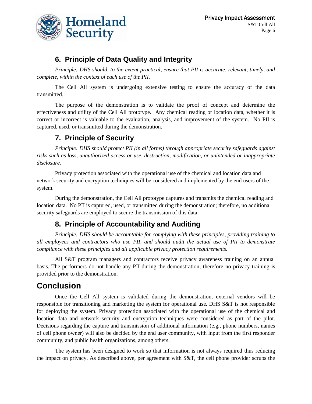

#### **6. Principle of Data Quality and Integrity**

*Principle: DHS should, to the extent practical, ensure that PII is accurate, relevant, timely, and complete, within the context of each use of the PII.*

The Cell All system is undergoing extensive testing to ensure the accuracy of the data transmitted.

The purpose of the demonstration is to validate the proof of concept and determine the effectiveness and utility of the Cell All prototype. Any chemical reading or location data, whether it is correct or incorrect is valuable to the evaluation, analysis, and improvement of the system. No PII is captured, used, or transmitted during the demonstration.

#### **7. Principle of Security**

*Principle: DHS should protect PII (in all forms) through appropriate security safeguards against risks such as loss, unauthorized access or use, destruction, modification, or unintended or inappropriate disclosure.*

Privacy protection associated with the operational use of the chemical and location data and network security and encryption techniques will be considered and implemented by the end users of the system.

During the demonstration, the Cell All prototype captures and transmits the chemical reading and location data. No PII is captured, used, or transmitted during the demonstration; therefore, no additional security safeguards are employed to secure the transmission of this data.

#### **8. Principle of Accountability and Auditing**

*Principle: DHS should be accountable for complying with these principles, providing training to all employees and contractors who use PII, and should audit the actual use of PII to demonstrate compliance with these principles and all applicable privacy protection requirements.*

All S&T program managers and contractors receive privacy awareness training on an annual basis. The performers do not handle any PII during the demonstration; therefore no privacy training is provided prior to the demonstration.

## **Conclusion**

Once the Cell All system is validated during the demonstration, external vendors will be responsible for transitioning and marketing the system for operational use. DHS S&T is not responsible for deploying the system. Privacy protection associated with the operational use of the chemical and location data and network security and encryption techniques were considered as part of the pilot. Decisions regarding the capture and transmission of additional information (e.g., phone numbers, names of cell phone owner) will also be decided by the end user community, with input from the first responder community, and public health organizations, among others.

The system has been designed to work so that information is not always required thus reducing the impact on privacy. As described above, per agreement with S&T, the cell phone provider scrubs the